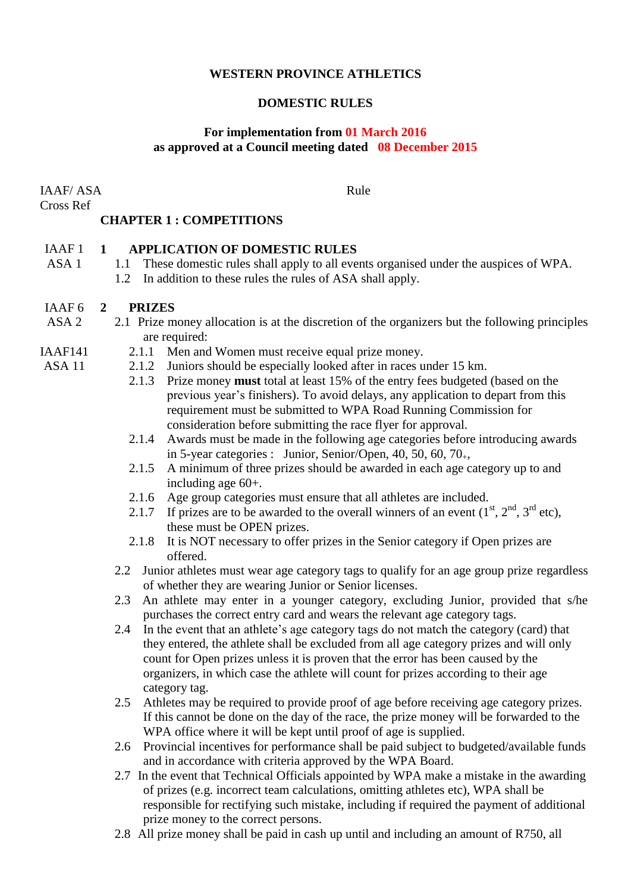### **WESTERN PROVINCE ATHLETICS**

### **DOMESTIC RULES**

### **For implementation from 01 March 2016 as approved at a Council meeting dated 08 December 2015**

IAAF/ ASA Cross Ref

ASA 11

Rule

# **CHAPTER 1 : COMPETITIONS**

#### IAAF 1 **1 APPLICATION OF DOMESTIC RULES**

- ASA 1 1.1 These domestic rules shall apply to all events organised under the auspices of WPA.
	- 1.2 In addition to these rules the rules of ASA shall apply.

#### IAAF 6 **2 PRIZES**

- ASA 2 2.1 Prize money allocation is at the discretion of the organizers but the following principles are required:
- IAAF141 2.1.1 Men and Women must receive equal prize money.
	- 2.1.2 Juniors should be especially looked after in races under 15 km.
		- 2.1.3 Prize money **must** total at least 15% of the entry fees budgeted (based on the previous year's finishers). To avoid delays, any application to depart from this requirement must be submitted to WPA Road Running Commission for consideration before submitting the race flyer for approval.
		- 2.1.4 Awards must be made in the following age categories before introducing awards in 5-year categories : Junior, Senior/Open, 40, 50, 60, 70 $<sub>+</sub>$ ,</sub>
		- 2.1.5 A minimum of three prizes should be awarded in each age category up to and including age 60+.
		- 2.1.6 Age group categories must ensure that all athletes are included.
		- 2.1.7 If prizes are to be awarded to the overall winners of an event  $(1<sup>st</sup>, 2<sup>nd</sup>, 3<sup>rd</sup> etc)$ , these must be OPEN prizes.
		- 2.1.8 It is NOT necessary to offer prizes in the Senior category if Open prizes are offered.
	- 2.2 Junior athletes must wear age category tags to qualify for an age group prize regardless of whether they are wearing Junior or Senior licenses.
	- 2.3 An athlete may enter in a younger category, excluding Junior, provided that s/he purchases the correct entry card and wears the relevant age category tags.
	- 2.4 In the event that an athlete's age category tags do not match the category (card) that they entered, the athlete shall be excluded from all age category prizes and will only count for Open prizes unless it is proven that the error has been caused by the organizers, in which case the athlete will count for prizes according to their age category tag.
	- 2.5 Athletes may be required to provide proof of age before receiving age category prizes. If this cannot be done on the day of the race, the prize money will be forwarded to the WPA office where it will be kept until proof of age is supplied.
	- 2.6 Provincial incentives for performance shall be paid subject to budgeted/available funds and in accordance with criteria approved by the WPA Board.
	- 2.7 In the event that Technical Officials appointed by WPA make a mistake in the awarding of prizes (e.g. incorrect team calculations, omitting athletes etc), WPA shall be responsible for rectifying such mistake, including if required the payment of additional prize money to the correct persons.
	- 2.8 All prize money shall be paid in cash up until and including an amount of R750, all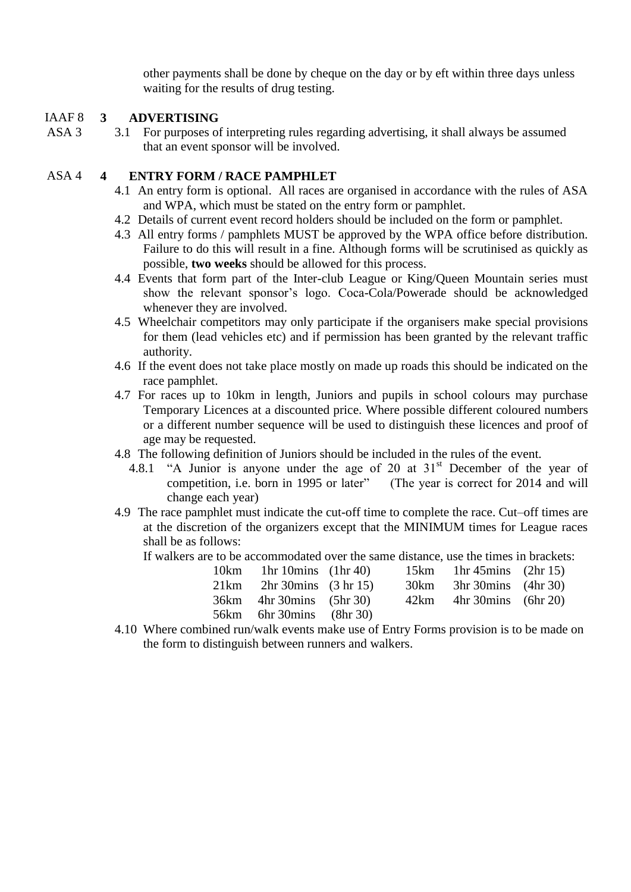other payments shall be done by cheque on the day or by eft within three days unless waiting for the results of drug testing.

#### IAAF 8 **3 ADVERTISING**

ASA 3 3.1 For purposes of interpreting rules regarding advertising, it shall always be assumed that an event sponsor will be involved.

## ASA 4 **4 ENTRY FORM / RACE PAMPHLET**

- 4.1 An entry form is optional. All races are organised in accordance with the rules of ASA and WPA, which must be stated on the entry form or pamphlet.
- 4.2 Details of current event record holders should be included on the form or pamphlet.
- 4.3 All entry forms / pamphlets MUST be approved by the WPA office before distribution. Failure to do this will result in a fine. Although forms will be scrutinised as quickly as possible, **two weeks** should be allowed for this process.
- 4.4 Events that form part of the Inter-club League or King/Queen Mountain series must show the relevant sponsor's logo. Coca-Cola/Powerade should be acknowledged whenever they are involved.
- 4.5 Wheelchair competitors may only participate if the organisers make special provisions for them (lead vehicles etc) and if permission has been granted by the relevant traffic authority.
- 4.6 If the event does not take place mostly on made up roads this should be indicated on the race pamphlet.
- 4.7 For races up to 10km in length, Juniors and pupils in school colours may purchase Temporary Licences at a discounted price. Where possible different coloured numbers or a different number sequence will be used to distinguish these licences and proof of age may be requested.
- 4.8 The following definition of Juniors should be included in the rules of the event.
	- 4.8.1 "A Junior is anyone under the age of 20 at  $31<sup>st</sup>$  December of the year of competition, i.e. born in 1995 or later" (The year is correct for 2014 and will change each year)
- 4.9 The race pamphlet must indicate the cut-off time to complete the race. Cut–off times are at the discretion of the organizers except that the MINIMUM times for League races shall be as follows:

If walkers are to be accommodated over the same distance, use the times in brackets:

| 10 $km$ 1hr 10 $m$ ins (1hr 40) |  | 15 km 1 hr 45 mins $(2hr 15)$ |  |
|---------------------------------|--|-------------------------------|--|
| $21km$ 2hr 30mins (3 hr 15)     |  | 30km 3hr 30mins (4hr 30)      |  |
| 36km 4hr 30mins (5hr 30)        |  | $42km$ 4hr 30mins (6hr 20)    |  |
| 56km 6hr 30mins (8hr 30)        |  |                               |  |

4.10 Where combined run/walk events make use of Entry Forms provision is to be made on the form to distinguish between runners and walkers.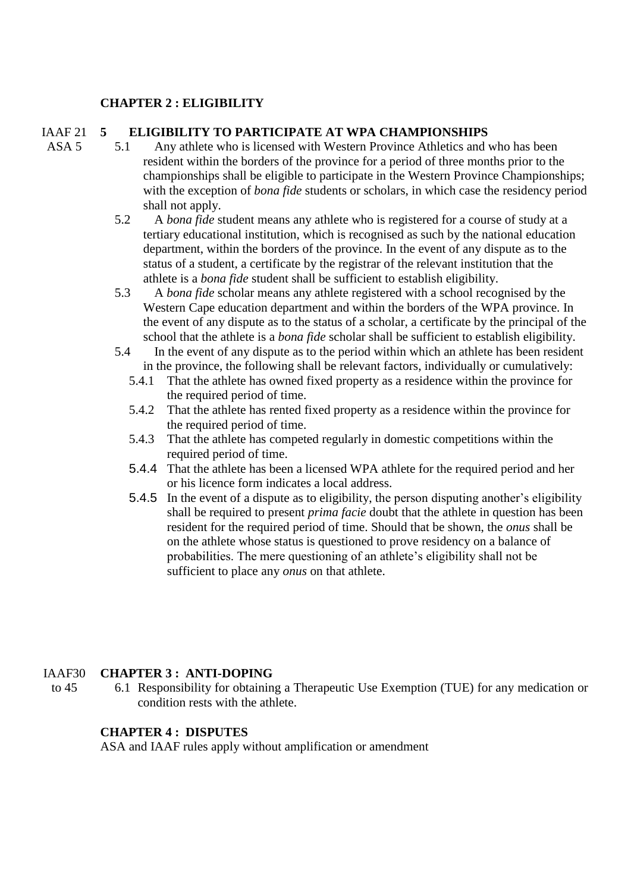## **CHAPTER 2 : ELIGIBILITY**

ASA 5

#### IAAF 21 **5 ELIGIBILITY TO PARTICIPATE AT WPA CHAMPIONSHIPS**

- 5.1 Any athlete who is licensed with Western Province Athletics and who has been resident within the borders of the province for a period of three months prior to the championships shall be eligible to participate in the Western Province Championships; with the exception of *bona fide* students or scholars, in which case the residency period shall not apply.
- 5.2 A *bona fide* student means any athlete who is registered for a course of study at a tertiary educational institution, which is recognised as such by the national education department, within the borders of the province. In the event of any dispute as to the status of a student, a certificate by the registrar of the relevant institution that the athlete is a *bona fide* student shall be sufficient to establish eligibility.
- 5.3 A *bona fide* scholar means any athlete registered with a school recognised by the Western Cape education department and within the borders of the WPA province. In the event of any dispute as to the status of a scholar, a certificate by the principal of the school that the athlete is a *bona fide* scholar shall be sufficient to establish eligibility.
- 5.4 In the event of any dispute as to the period within which an athlete has been resident in the province, the following shall be relevant factors, individually or cumulatively:
	- 5.4.1 That the athlete has owned fixed property as a residence within the province for the required period of time.
	- 5.4.2 That the athlete has rented fixed property as a residence within the province for the required period of time.
	- 5.4.3 That the athlete has competed regularly in domestic competitions within the required period of time.
	- 5.4.4 That the athlete has been a licensed WPA athlete for the required period and her or his licence form indicates a local address.
	- 5.4.5 In the event of a dispute as to eligibility, the person disputing another's eligibility shall be required to present *prima facie* doubt that the athlete in question has been resident for the required period of time. Should that be shown, the *onus* shall be on the athlete whose status is questioned to prove residency on a balance of probabilities. The mere questioning of an athlete's eligibility shall not be sufficient to place any *onus* on that athlete.

#### IAAF30 **CHAPTER 3 : ANTI-DOPING**

to 45 6.1 Responsibility for obtaining a Therapeutic Use Exemption (TUE) for any medication or condition rests with the athlete.

## **CHAPTER 4 : DISPUTES**

ASA and IAAF rules apply without amplification or amendment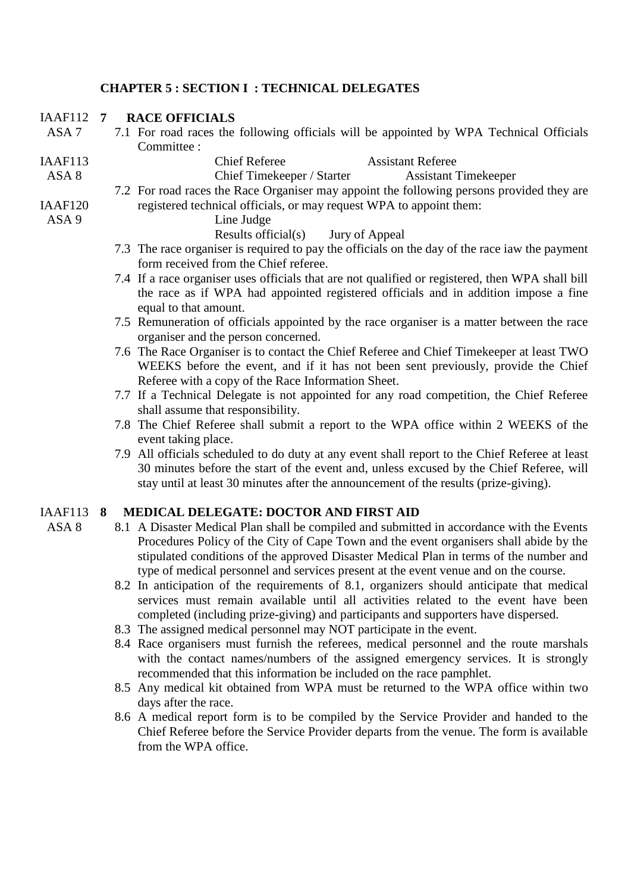### **CHAPTER 5 : SECTION I : TECHNICAL DELEGATES**

#### IAAF<sub>112</sub> $7$ **7 RACE OFFICIALS**

ASA 7 7.1 For road races the following officials will be appointed by WPA Technical Officials Committee :

Chief Referee Assistant Referee

IAAF113

- ASA 8
- IAAF120 7.2 For road races the Race Organiser may appoint the following persons provided they are registered technical officials, or may request WPA to appoint them: Line Judge

ASA 9

ASA 8

Results official(s) Jury of Appeal

7.3 The race organiser is required to pay the officials on the day of the race iaw the payment form received from the Chief referee.

Chief Timekeeper / Starter Assistant Timekeeper

- 7.4 If a race organiser uses officials that are not qualified or registered, then WPA shall bill the race as if WPA had appointed registered officials and in addition impose a fine equal to that amount.
- 7.5 Remuneration of officials appointed by the race organiser is a matter between the race organiser and the person concerned.
- 7.6 The Race Organiser is to contact the Chief Referee and Chief Timekeeper at least TWO WEEKS before the event, and if it has not been sent previously, provide the Chief Referee with a copy of the Race Information Sheet.
- 7.7 If a Technical Delegate is not appointed for any road competition, the Chief Referee shall assume that responsibility.
- 7.8 The Chief Referee shall submit a report to the WPA office within 2 WEEKS of the event taking place.
- 7.9 All officials scheduled to do duty at any event shall report to the Chief Referee at least 30 minutes before the start of the event and, unless excused by the Chief Referee, will stay until at least 30 minutes after the announcement of the results (prize-giving).

#### IAAF113 **8 MEDICAL DELEGATE: DOCTOR AND FIRST AID**

- 8.1 A Disaster Medical Plan shall be compiled and submitted in accordance with the Events Procedures Policy of the City of Cape Town and the event organisers shall abide by the stipulated conditions of the approved Disaster Medical Plan in terms of the number and type of medical personnel and services present at the event venue and on the course.
- 8.2 In anticipation of the requirements of 8.1, organizers should anticipate that medical services must remain available until all activities related to the event have been completed (including prize-giving) and participants and supporters have dispersed.
- 8.3 The assigned medical personnel may NOT participate in the event.
- 8.4 Race organisers must furnish the referees, medical personnel and the route marshals with the contact names/numbers of the assigned emergency services. It is strongly recommended that this information be included on the race pamphlet.
- 8.5 Any medical kit obtained from WPA must be returned to the WPA office within two days after the race.
- 8.6 A medical report form is to be compiled by the Service Provider and handed to the Chief Referee before the Service Provider departs from the venue. The form is available from the WPA office.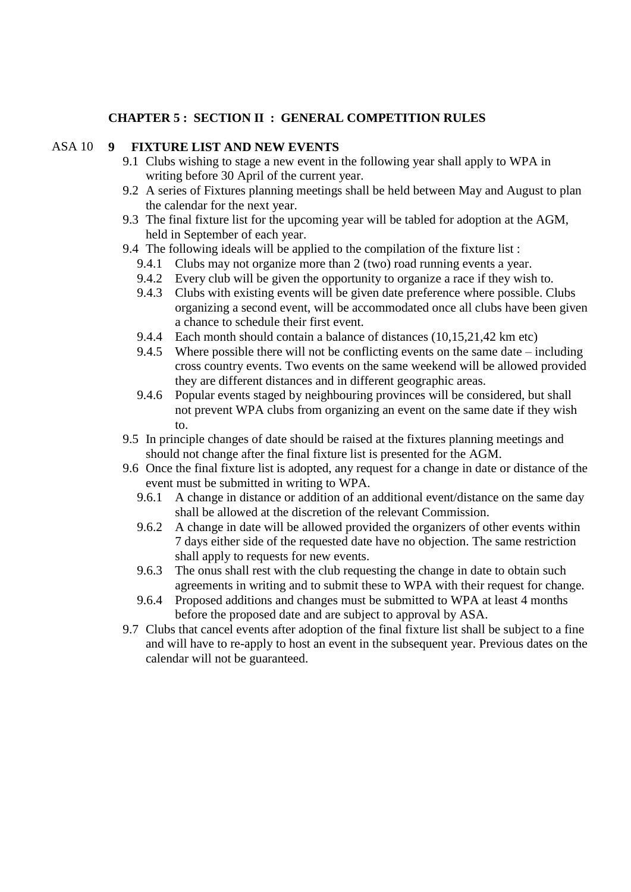#### **CHAPTER 5 : SECTION II : GENERAL COMPETITION RULES**

#### ASA 10 **9 FIXTURE LIST AND NEW EVENTS**

- 9.1 Clubs wishing to stage a new event in the following year shall apply to WPA in writing before 30 April of the current year.
- 9.2 A series of Fixtures planning meetings shall be held between May and August to plan the calendar for the next year.
- 9.3 The final fixture list for the upcoming year will be tabled for adoption at the AGM, held in September of each year.
- 9.4 The following ideals will be applied to the compilation of the fixture list :
	- 9.4.1 Clubs may not organize more than 2 (two) road running events a year.
	- 9.4.2 Every club will be given the opportunity to organize a race if they wish to.
	- 9.4.3 Clubs with existing events will be given date preference where possible. Clubs organizing a second event, will be accommodated once all clubs have been given a chance to schedule their first event.
	- 9.4.4 Each month should contain a balance of distances (10,15,21,42 km etc)
	- 9.4.5 Where possible there will not be conflicting events on the same date including cross country events. Two events on the same weekend will be allowed provided they are different distances and in different geographic areas.
	- 9.4.6 Popular events staged by neighbouring provinces will be considered, but shall not prevent WPA clubs from organizing an event on the same date if they wish to.
- 9.5 In principle changes of date should be raised at the fixtures planning meetings and should not change after the final fixture list is presented for the AGM.
- 9.6 Once the final fixture list is adopted, any request for a change in date or distance of the event must be submitted in writing to WPA.
	- 9.6.1 A change in distance or addition of an additional event/distance on the same day shall be allowed at the discretion of the relevant Commission.
	- 9.6.2 A change in date will be allowed provided the organizers of other events within 7 days either side of the requested date have no objection. The same restriction shall apply to requests for new events.
	- 9.6.3 The onus shall rest with the club requesting the change in date to obtain such agreements in writing and to submit these to WPA with their request for change.
	- 9.6.4 Proposed additions and changes must be submitted to WPA at least 4 months before the proposed date and are subject to approval by ASA.
- 9.7 Clubs that cancel events after adoption of the final fixture list shall be subject to a fine and will have to re-apply to host an event in the subsequent year. Previous dates on the calendar will not be guaranteed.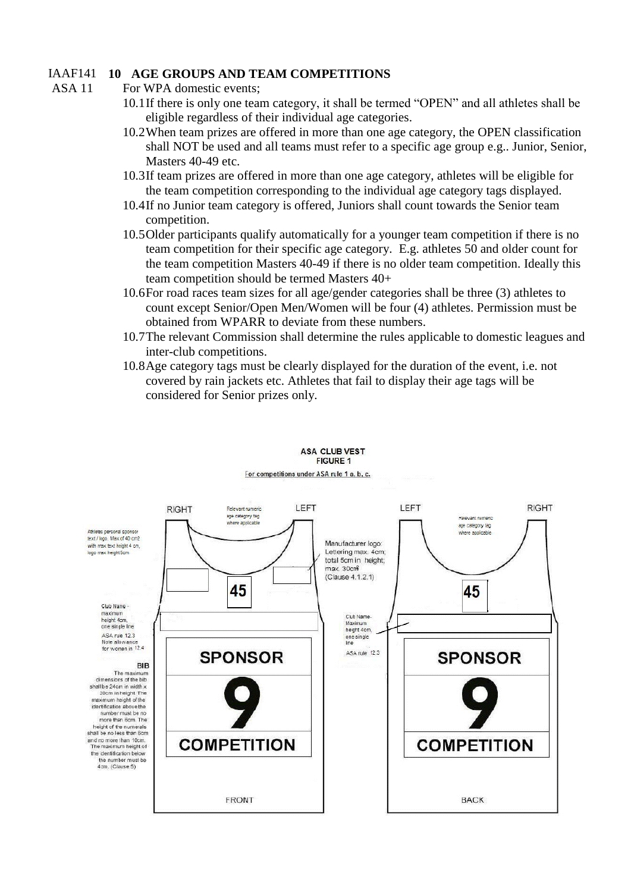### IAAF141 **10 AGE GROUPS AND TEAM COMPETITIONS**

- For WPA domestic events;
	- 10.1If there is only one team category, it shall be termed "OPEN" and all athletes shall be eligible regardless of their individual age categories.
	- 10.2When team prizes are offered in more than one age category, the OPEN classification shall NOT be used and all teams must refer to a specific age group e.g.. Junior, Senior, Masters 40-49 etc.
	- 10.3If team prizes are offered in more than one age category, athletes will be eligible for the team competition corresponding to the individual age category tags displayed.
	- 10.4If no Junior team category is offered, Juniors shall count towards the Senior team competition.
	- 10.5Older participants qualify automatically for a younger team competition if there is no team competition for their specific age category. E.g. athletes 50 and older count for the team competition Masters 40-49 if there is no older team competition. Ideally this team competition should be termed Masters 40+
	- 10.6For road races team sizes for all age/gender categories shall be three (3) athletes to count except Senior/Open Men/Women will be four (4) athletes. Permission must be obtained from WPARR to deviate from these numbers.
	- 10.7The relevant Commission shall determine the rules applicable to domestic leagues and inter-club competitions.
	- 10.8Age category tags must be clearly displayed for the duration of the event, i.e. not covered by rain jackets etc. Athletes that fail to display their age tags will be considered for Senior prizes only.



#### **ASA CLUB VEST FIGURE 1**

ASA 11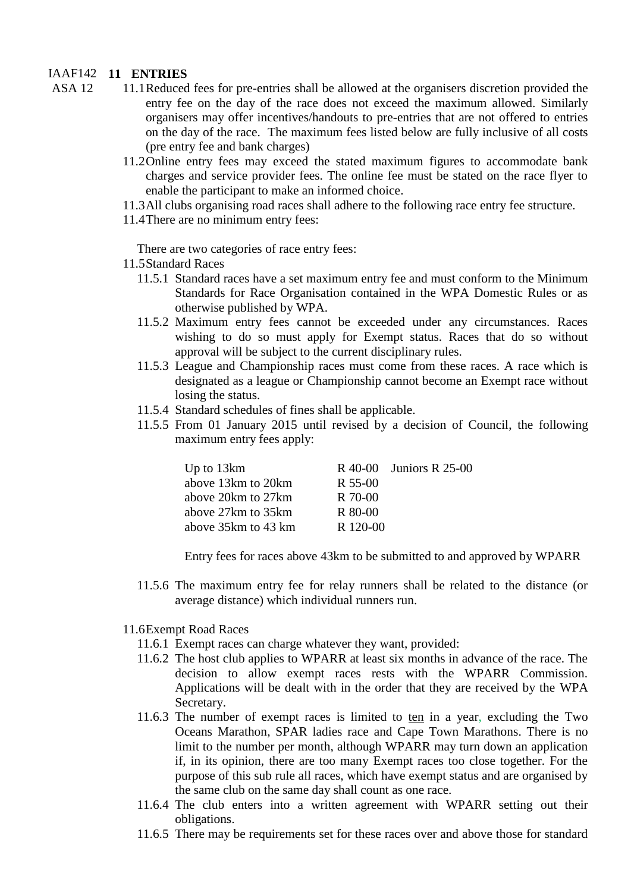### IAAF142 **11 ENTRIES**

- ASA 12 11.1Reduced fees for pre-entries shall be allowed at the organisers discretion provided the entry fee on the day of the race does not exceed the maximum allowed. Similarly organisers may offer incentives/handouts to pre-entries that are not offered to entries on the day of the race. The maximum fees listed below are fully inclusive of all costs (pre entry fee and bank charges)
	- 11.2Online entry fees may exceed the stated maximum figures to accommodate bank charges and service provider fees. The online fee must be stated on the race flyer to enable the participant to make an informed choice.
	- 11.3All clubs organising road races shall adhere to the following race entry fee structure.
	- 11.4There are no minimum entry fees:

There are two categories of race entry fees:

- 11.5Standard Races
	- 11.5.1 Standard races have a set maximum entry fee and must conform to the Minimum Standards for Race Organisation contained in the WPA Domestic Rules or as otherwise published by WPA.
	- 11.5.2 Maximum entry fees cannot be exceeded under any circumstances. Races wishing to do so must apply for Exempt status. Races that do so without approval will be subject to the current disciplinary rules.
	- 11.5.3 League and Championship races must come from these races. A race which is designated as a league or Championship cannot become an Exempt race without losing the status.
	- 11.5.4 Standard schedules of fines shall be applicable.
	- 11.5.5 From 01 January 2015 until revised by a decision of Council, the following maximum entry fees apply:

| Up to 13km           |          | $R$ 40-00 Juniors R 25-00 |
|----------------------|----------|---------------------------|
| above 13 km to 20 km | R 55-00  |                           |
| above 20 km to 27 km | R 70-00  |                           |
| above 27 km to 35 km | R 80-00  |                           |
| above 35km to 43 km  | R 120-00 |                           |

Entry fees for races above 43km to be submitted to and approved by WPARR

11.5.6 The maximum entry fee for relay runners shall be related to the distance (or average distance) which individual runners run.

#### 11.6Exempt Road Races

- 11.6.1 Exempt races can charge whatever they want, provided:
- 11.6.2 The host club applies to WPARR at least six months in advance of the race. The decision to allow exempt races rests with the WPARR Commission. Applications will be dealt with in the order that they are received by the WPA Secretary.
- 11.6.3 The number of exempt races is limited to ten in a year, excluding the Two Oceans Marathon, SPAR ladies race and Cape Town Marathons. There is no limit to the number per month, although WPARR may turn down an application if, in its opinion, there are too many Exempt races too close together. For the purpose of this sub rule all races, which have exempt status and are organised by the same club on the same day shall count as one race.
- 11.6.4 The club enters into a written agreement with WPARR setting out their obligations.
- 11.6.5 There may be requirements set for these races over and above those for standard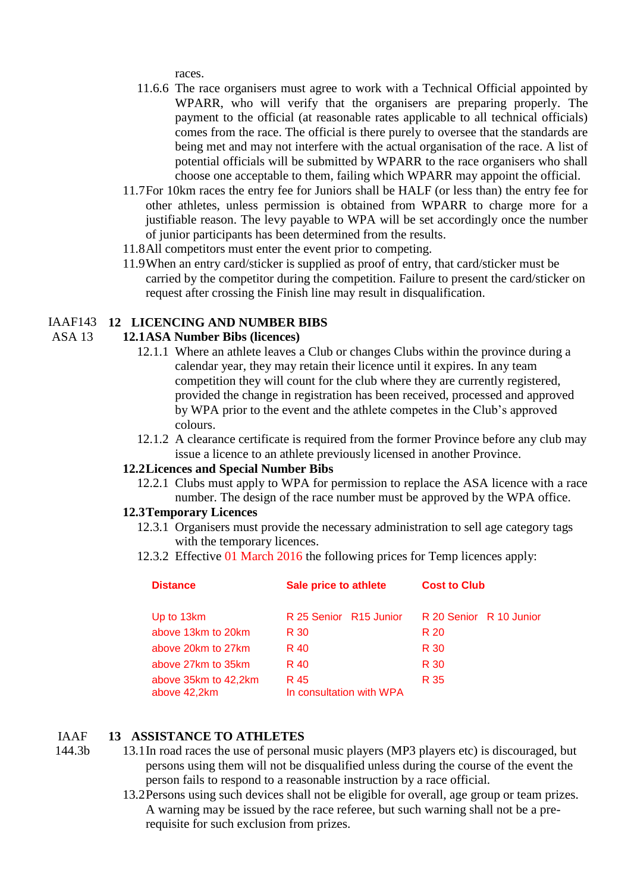races.

- 11.6.6 The race organisers must agree to work with a Technical Official appointed by WPARR, who will verify that the organisers are preparing properly. The payment to the official (at reasonable rates applicable to all technical officials) comes from the race. The official is there purely to oversee that the standards are being met and may not interfere with the actual organisation of the race. A list of potential officials will be submitted by WPARR to the race organisers who shall choose one acceptable to them, failing which WPARR may appoint the official.
- 11.7For 10km races the entry fee for Juniors shall be HALF (or less than) the entry fee for other athletes, unless permission is obtained from WPARR to charge more for a justifiable reason. The levy payable to WPA will be set accordingly once the number of junior participants has been determined from the results.
- 11.8All competitors must enter the event prior to competing.
- 11.9When an entry card/sticker is supplied as proof of entry, that card/sticker must be carried by the competitor during the competition. Failure to present the card/sticker on request after crossing the Finish line may result in disqualification.

#### IAAF143 **12 LICENCING AND NUMBER BIBS**

#### ASA 13 **12.1ASA Number Bibs (licences)**

- 12.1.1 Where an athlete leaves a Club or changes Clubs within the province during a calendar year, they may retain their licence until it expires. In any team competition they will count for the club where they are currently registered, provided the change in registration has been received, processed and approved by WPA prior to the event and the athlete competes in the Club's approved colours.
- 12.1.2 A clearance certificate is required from the former Province before any club may issue a licence to an athlete previously licensed in another Province.

#### **12.2Licences and Special Number Bibs**

12.2.1 Clubs must apply to WPA for permission to replace the ASA licence with a race number. The design of the race number must be approved by the WPA office.

#### **12.3Temporary Licences**

- 12.3.1 Organisers must provide the necessary administration to sell age category tags with the temporary licences.
- 12.3.2 Effective 01 March 2016 the following prices for Temp licences apply:

| <b>Distance</b>                      | Sale price to athlete            | <b>Cost to Club</b>     |  |
|--------------------------------------|----------------------------------|-------------------------|--|
| Up to 13km                           | R 25 Senior R15 Junior           | R 20 Senior R 10 Junior |  |
| above 13km to 20km                   | R 30                             | R 20                    |  |
| above 20km to 27km                   | R 40                             | R 30                    |  |
| above 27km to 35km                   | R 40                             | R 30                    |  |
| above 35km to 42,2km<br>above 42,2km | R 45<br>In consultation with WPA | R 35                    |  |

#### IAAF **13 ASSISTANCE TO ATHLETES**

144.3b

- 13.1In road races the use of personal music players (MP3 players etc) is discouraged, but persons using them will not be disqualified unless during the course of the event the person fails to respond to a reasonable instruction by a race official.
	- 13.2Persons using such devices shall not be eligible for overall, age group or team prizes. A warning may be issued by the race referee, but such warning shall not be a prerequisite for such exclusion from prizes.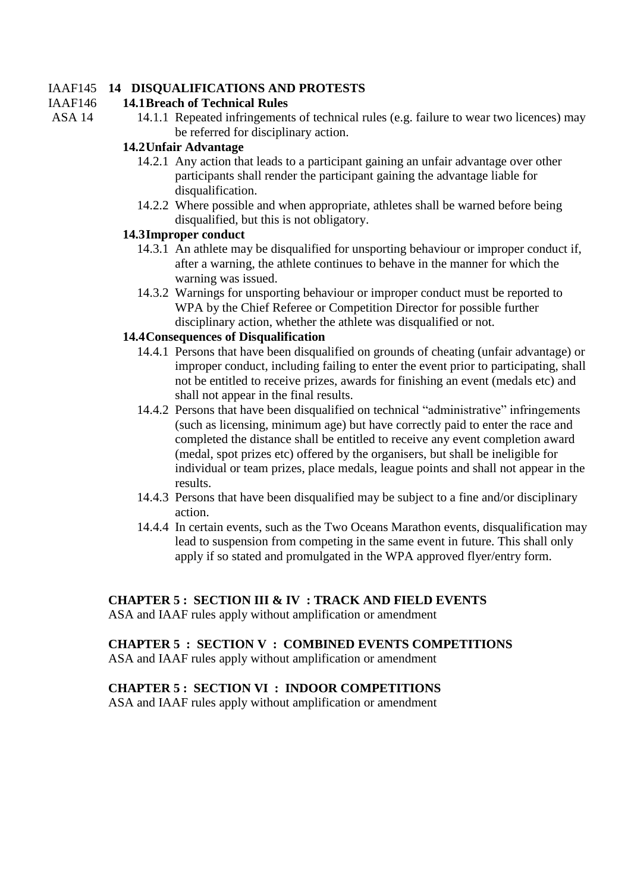### IAAF145 **14 DISQUALIFICATIONS AND PROTESTS**

#### IAAF146 **14.1Breach of Technical Rules**

- ASA 14
- 14.1.1 Repeated infringements of technical rules (e.g. failure to wear two licences) may be referred for disciplinary action.

## **14.2Unfair Advantage**

- 14.2.1 Any action that leads to a participant gaining an unfair advantage over other participants shall render the participant gaining the advantage liable for disqualification.
- 14.2.2 Where possible and when appropriate, athletes shall be warned before being disqualified, but this is not obligatory.

### **14.3Improper conduct**

- 14.3.1 An athlete may be disqualified for unsporting behaviour or improper conduct if, after a warning, the athlete continues to behave in the manner for which the warning was issued.
- 14.3.2 Warnings for unsporting behaviour or improper conduct must be reported to WPA by the Chief Referee or Competition Director for possible further disciplinary action, whether the athlete was disqualified or not.

### **14.4Consequences of Disqualification**

- 14.4.1 Persons that have been disqualified on grounds of cheating (unfair advantage) or improper conduct, including failing to enter the event prior to participating, shall not be entitled to receive prizes, awards for finishing an event (medals etc) and shall not appear in the final results.
- 14.4.2 Persons that have been disqualified on technical "administrative" infringements (such as licensing, minimum age) but have correctly paid to enter the race and completed the distance shall be entitled to receive any event completion award (medal, spot prizes etc) offered by the organisers, but shall be ineligible for individual or team prizes, place medals, league points and shall not appear in the results.
- 14.4.3 Persons that have been disqualified may be subject to a fine and/or disciplinary action.
- 14.4.4 In certain events, such as the Two Oceans Marathon events, disqualification may lead to suspension from competing in the same event in future. This shall only apply if so stated and promulgated in the WPA approved flyer/entry form.

## **CHAPTER 5 : SECTION III & IV : TRACK AND FIELD EVENTS**

ASA and IAAF rules apply without amplification or amendment

## **CHAPTER 5 : SECTION V : COMBINED EVENTS COMPETITIONS**

ASA and IAAF rules apply without amplification or amendment

## **CHAPTER 5 : SECTION VI : INDOOR COMPETITIONS**

ASA and IAAF rules apply without amplification or amendment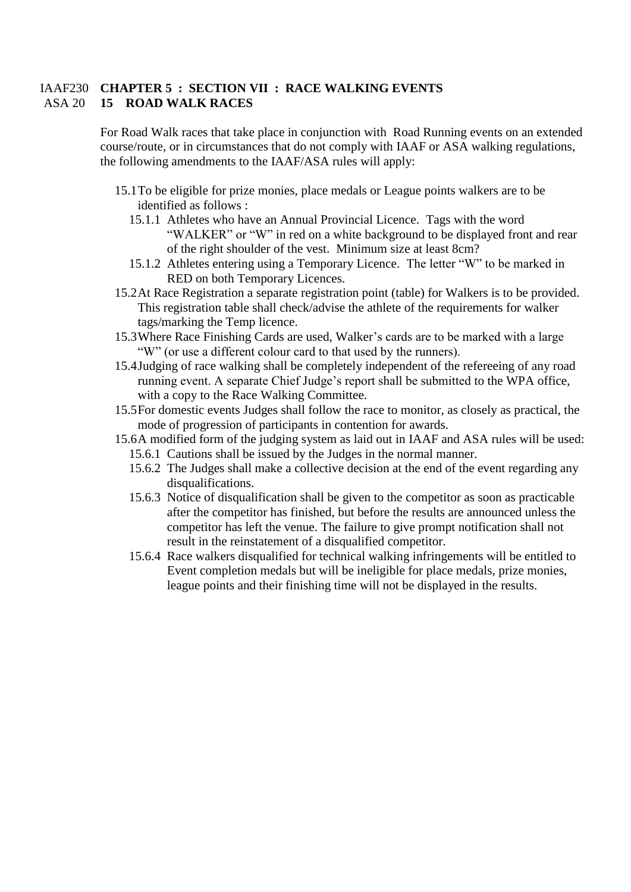## IAAF230 **CHAPTER 5 : SECTION VII : RACE WALKING EVENTS** ASA 20 **15 ROAD WALK RACES**

For Road Walk races that take place in conjunction with Road Running events on an extended course/route, or in circumstances that do not comply with IAAF or ASA walking regulations, the following amendments to the IAAF/ASA rules will apply:

- 15.1To be eligible for prize monies, place medals or League points walkers are to be identified as follows :
	- 15.1.1 Athletes who have an Annual Provincial Licence. Tags with the word "WALKER" or "W" in red on a white background to be displayed front and rear of the right shoulder of the vest. Minimum size at least 8cm?
	- 15.1.2 Athletes entering using a Temporary Licence. The letter "W" to be marked in RED on both Temporary Licences.
- 15.2At Race Registration a separate registration point (table) for Walkers is to be provided. This registration table shall check/advise the athlete of the requirements for walker tags/marking the Temp licence.
- 15.3Where Race Finishing Cards are used, Walker's cards are to be marked with a large "W" (or use a different colour card to that used by the runners).
- 15.4Judging of race walking shall be completely independent of the refereeing of any road running event. A separate Chief Judge's report shall be submitted to the WPA office, with a copy to the Race Walking Committee.
- 15.5For domestic events Judges shall follow the race to monitor, as closely as practical, the mode of progression of participants in contention for awards.
- 15.6A modified form of the judging system as laid out in IAAF and ASA rules will be used:
	- 15.6.1 Cautions shall be issued by the Judges in the normal manner.
	- 15.6.2 The Judges shall make a collective decision at the end of the event regarding any disqualifications.
	- 15.6.3 Notice of disqualification shall be given to the competitor as soon as practicable after the competitor has finished, but before the results are announced unless the competitor has left the venue. The failure to give prompt notification shall not result in the reinstatement of a disqualified competitor.
	- 15.6.4 Race walkers disqualified for technical walking infringements will be entitled to Event completion medals but will be ineligible for place medals, prize monies, league points and their finishing time will not be displayed in the results.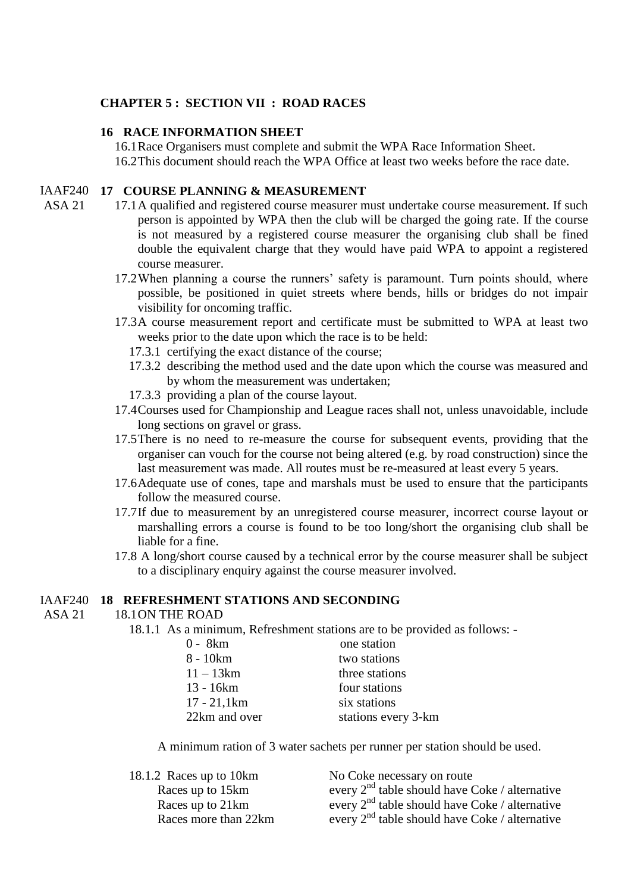#### **CHAPTER 5 : SECTION VII : ROAD RACES**

#### **16 RACE INFORMATION SHEET**

16.1Race Organisers must complete and submit the WPA Race Information Sheet. 16.2This document should reach the WPA Office at least two weeks before the race date.

#### IAAF240 **17 COURSE PLANNING & MEASUREMENT**

- ASA 21 17.1A qualified and registered course measurer must undertake course measurement. If such person is appointed by WPA then the club will be charged the going rate. If the course is not measured by a registered course measurer the organising club shall be fined double the equivalent charge that they would have paid WPA to appoint a registered course measurer.
	- 17.2When planning a course the runners' safety is paramount. Turn points should, where possible, be positioned in quiet streets where bends, hills or bridges do not impair visibility for oncoming traffic.
	- 17.3A course measurement report and certificate must be submitted to WPA at least two weeks prior to the date upon which the race is to be held:
		- 17.3.1 certifying the exact distance of the course;
		- 17.3.2 describing the method used and the date upon which the course was measured and by whom the measurement was undertaken;
		- 17.3.3 providing a plan of the course layout.
	- 17.4Courses used for Championship and League races shall not, unless unavoidable, include long sections on gravel or grass.
	- 17.5There is no need to re-measure the course for subsequent events, providing that the organiser can vouch for the course not being altered (e.g. by road construction) since the last measurement was made. All routes must be re-measured at least every 5 years.
	- 17.6Adequate use of cones, tape and marshals must be used to ensure that the participants follow the measured course.
	- 17.7If due to measurement by an unregistered course measurer, incorrect course layout or marshalling errors a course is found to be too long/short the organising club shall be liable for a fine.
	- 17.8 A long/short course caused by a technical error by the course measurer shall be subject to a disciplinary enquiry against the course measurer involved.

#### IAAF240 **18 REFRESHMENT STATIONS AND SECONDING**

#### ASA 21 18.1ON THE ROAD

18.1.1 As a minimum, Refreshment stations are to be provided as follows: -

| one station         |
|---------------------|
| two stations        |
| three stations      |
| four stations       |
| six stations        |
| stations every 3-km |
|                     |

A minimum ration of 3 water sachets per runner per station should be used.

| 18.1.2 Races up to 10km | No Coke necessary on route                          |
|-------------------------|-----------------------------------------------------|
| Races up to 15km        | every $2^{nd}$ table should have Coke / alternative |
| Races up to 21km        | every $2^{nd}$ table should have Coke / alternative |
| Races more than 22km    | every $2^{nd}$ table should have Coke / alternative |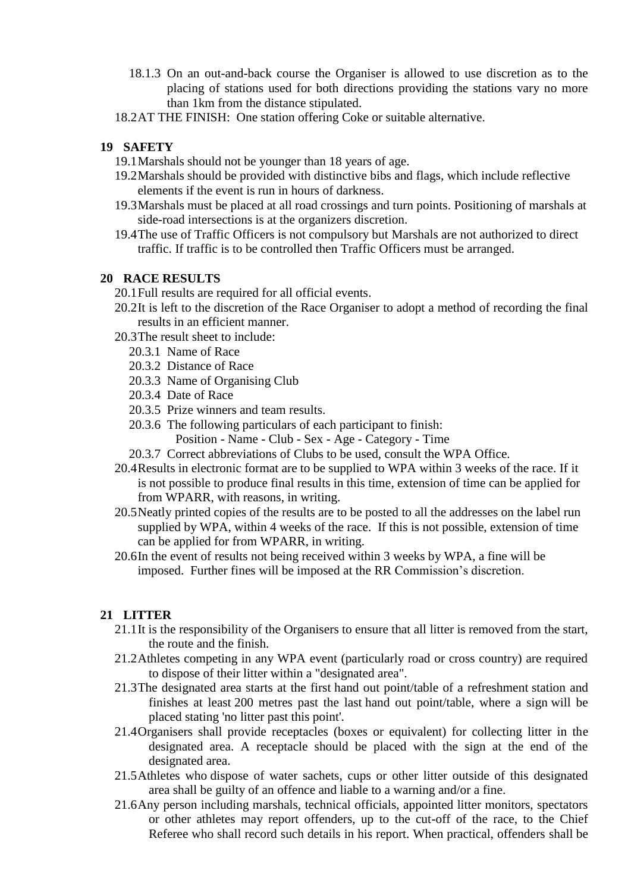- 18.1.3 On an out-and-back course the Organiser is allowed to use discretion as to the placing of stations used for both directions providing the stations vary no more than 1km from the distance stipulated.
- 18.2AT THE FINISH: One station offering Coke or suitable alternative.

## **19 SAFETY**

- 19.1Marshals should not be younger than 18 years of age.
- 19.2Marshals should be provided with distinctive bibs and flags, which include reflective elements if the event is run in hours of darkness.
- 19.3Marshals must be placed at all road crossings and turn points. Positioning of marshals at side-road intersections is at the organizers discretion.
- 19.4The use of Traffic Officers is not compulsory but Marshals are not authorized to direct traffic. If traffic is to be controlled then Traffic Officers must be arranged.

## **20 RACE RESULTS**

- 20.1Full results are required for all official events.
- 20.2It is left to the discretion of the Race Organiser to adopt a method of recording the final results in an efficient manner.
- 20.3The result sheet to include:
	- 20.3.1 Name of Race
	- 20.3.2 Distance of Race
	- 20.3.3 Name of Organising Club
	- 20.3.4 Date of Race
	- 20.3.5 Prize winners and team results.
	- 20.3.6 The following particulars of each participant to finish:
		- Position Name Club Sex Age Category Time
	- 20.3.7 Correct abbreviations of Clubs to be used, consult the WPA Office.
- 20.4Results in electronic format are to be supplied to WPA within 3 weeks of the race. If it is not possible to produce final results in this time, extension of time can be applied for from WPARR, with reasons, in writing.
- 20.5Neatly printed copies of the results are to be posted to all the addresses on the label run supplied by WPA, within 4 weeks of the race. If this is not possible, extension of time can be applied for from WPARR, in writing.
- 20.6In the event of results not being received within 3 weeks by WPA, a fine will be imposed. Further fines will be imposed at the RR Commission's discretion.

## **21 LITTER**

- 21.1It is the responsibility of the Organisers to ensure that all litter is removed from the start, the route and the finish.
- 21.2Athletes competing in any WPA event (particularly road or cross country) are required to dispose of their litter within a "designated area".
- 21.3The designated area starts at the first hand out point/table of a refreshment station and finishes at least 200 metres past the last hand out point/table, where a sign will be placed stating 'no litter past this point'.
- 21.4Organisers shall provide receptacles (boxes or equivalent) for collecting litter in the designated area. A receptacle should be placed with the sign at the end of the designated area.
- 21.5Athletes who dispose of water sachets, cups or other litter outside of this designated area shall be guilty of an offence and liable to a warning and/or a fine.
- 21.6Any person including marshals, technical officials, appointed litter monitors, spectators or other athletes may report offenders, up to the cut-off of the race, to the Chief Referee who shall record such details in his report. When practical, offenders shall be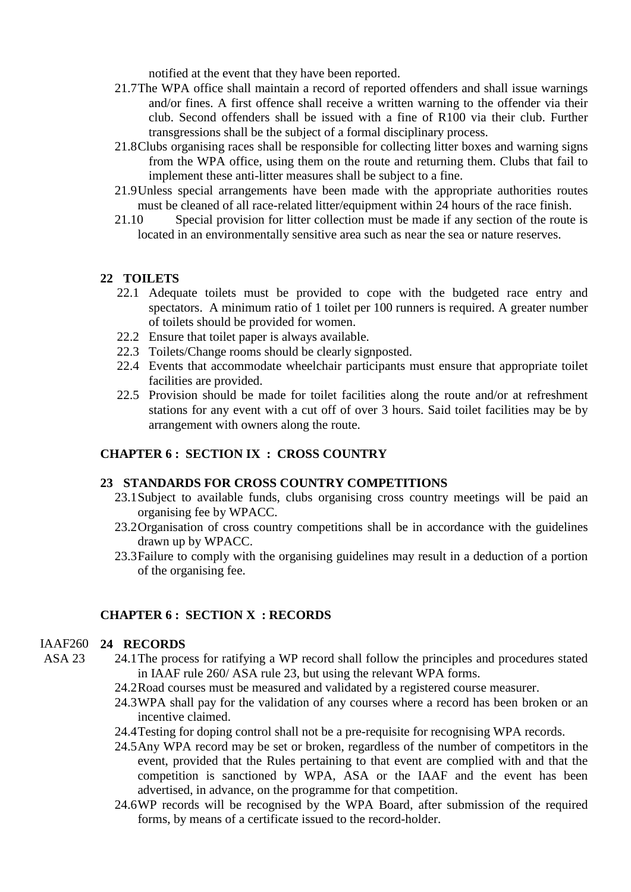notified at the event that they have been reported.

- 21.7The WPA office shall maintain a record of reported offenders and shall issue warnings and/or fines. A first offence shall receive a written warning to the offender via their club. Second offenders shall be issued with a fine of R100 via their club. Further transgressions shall be the subject of a formal disciplinary process.
- 21.8Clubs organising races shall be responsible for collecting litter boxes and warning signs from the WPA office, using them on the route and returning them. Clubs that fail to implement these anti-litter measures shall be subject to a fine.
- 21.9Unless special arrangements have been made with the appropriate authorities routes must be cleaned of all race-related litter/equipment within 24 hours of the race finish.
- 21.10 Special provision for litter collection must be made if any section of the route is located in an environmentally sensitive area such as near the sea or nature reserves.

### **22 TOILETS**

- 22.1 Adequate toilets must be provided to cope with the budgeted race entry and spectators. A minimum ratio of 1 toilet per 100 runners is required. A greater number of toilets should be provided for women.
- 22.2 Ensure that toilet paper is always available.
- 22.3 Toilets/Change rooms should be clearly signposted.
- 22.4 Events that accommodate wheelchair participants must ensure that appropriate toilet facilities are provided.
- 22.5 Provision should be made for toilet facilities along the route and/or at refreshment stations for any event with a cut off of over 3 hours. Said toilet facilities may be by arrangement with owners along the route.

#### **CHAPTER 6 : SECTION IX : CROSS COUNTRY**

### **23 STANDARDS FOR CROSS COUNTRY COMPETITIONS**

- 23.1Subject to available funds, clubs organising cross country meetings will be paid an organising fee by WPACC.
- 23.2Organisation of cross country competitions shall be in accordance with the guidelines drawn up by WPACC.
- 23.3Failure to comply with the organising guidelines may result in a deduction of a portion of the organising fee.

#### **CHAPTER 6 : SECTION X : RECORDS**

#### IAAF260 **24 RECORDS**

- $ASA$  23
	- 24.1The process for ratifying a WP record shall follow the principles and procedures stated in IAAF rule 260/ ASA rule 23, but using the relevant WPA forms.
		- 24.2Road courses must be measured and validated by a registered course measurer.
		- 24.3WPA shall pay for the validation of any courses where a record has been broken or an incentive claimed.
		- 24.4Testing for doping control shall not be a pre-requisite for recognising WPA records.
		- 24.5Any WPA record may be set or broken, regardless of the number of competitors in the event, provided that the Rules pertaining to that event are complied with and that the competition is sanctioned by WPA, ASA or the IAAF and the event has been advertised, in advance, on the programme for that competition.
		- 24.6WP records will be recognised by the WPA Board, after submission of the required forms, by means of a certificate issued to the record-holder.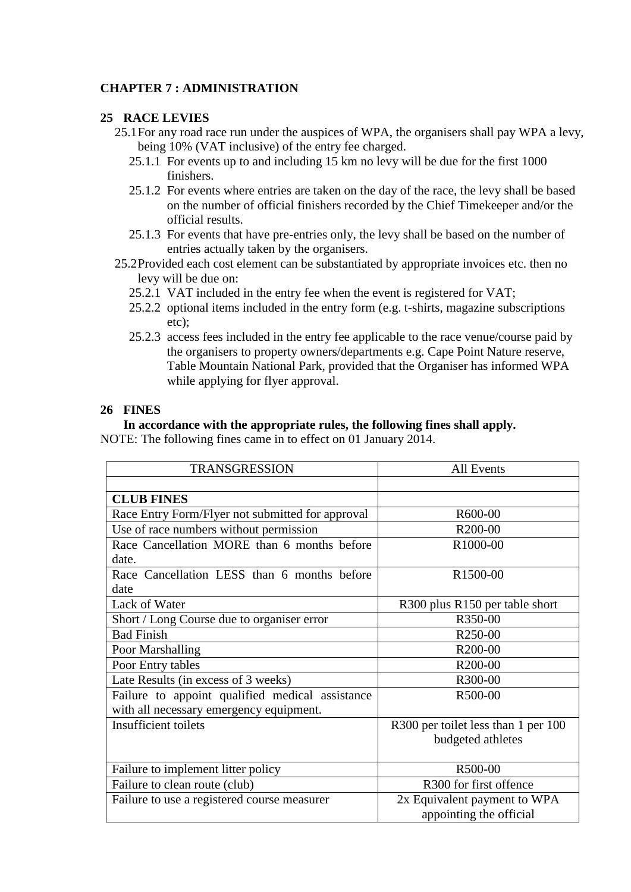## **CHAPTER 7 : ADMINISTRATION**

### **25 RACE LEVIES**

- 25.1For any road race run under the auspices of WPA, the organisers shall pay WPA a levy, being 10% (VAT inclusive) of the entry fee charged.
	- 25.1.1 For events up to and including 15 km no levy will be due for the first 1000 finishers.
	- 25.1.2 For events where entries are taken on the day of the race, the levy shall be based on the number of official finishers recorded by the Chief Timekeeper and/or the official results.
	- 25.1.3 For events that have pre-entries only, the levy shall be based on the number of entries actually taken by the organisers.
- 25.2Provided each cost element can be substantiated by appropriate invoices etc. then no levy will be due on:
	- 25.2.1 VAT included in the entry fee when the event is registered for VAT;
	- 25.2.2 optional items included in the entry form (e.g. t-shirts, magazine subscriptions etc);
	- 25.2.3 access fees included in the entry fee applicable to the race venue/course paid by the organisers to property owners/departments e.g. Cape Point Nature reserve, Table Mountain National Park, provided that the Organiser has informed WPA while applying for flyer approval.

## **26 FINES**

### **In accordance with the appropriate rules, the following fines shall apply.**

NOTE: The following fines came in to effect on 01 January 2014.

| <b>TRANSGRESSION</b>                             | <b>All Events</b>                   |  |
|--------------------------------------------------|-------------------------------------|--|
|                                                  |                                     |  |
| <b>CLUB FINES</b>                                |                                     |  |
| Race Entry Form/Flyer not submitted for approval | R600-00                             |  |
| Use of race numbers without permission           | R <sub>200</sub> -00                |  |
| Race Cancellation MORE than 6 months before      | R1000-00                            |  |
| date.                                            |                                     |  |
| Race Cancellation LESS than 6 months before      | R1500-00                            |  |
| date                                             |                                     |  |
| Lack of Water                                    | R300 plus R150 per table short      |  |
| Short / Long Course due to organiser error       | R350-00                             |  |
| <b>Bad Finish</b>                                | R <sub>250</sub> -00                |  |
| Poor Marshalling                                 | R200-00                             |  |
| Poor Entry tables                                | R200-00                             |  |
| Late Results (in excess of 3 weeks)              | R300-00                             |  |
| Failure to appoint qualified medical assistance  | R500-00                             |  |
| with all necessary emergency equipment.          |                                     |  |
| Insufficient toilets                             | R300 per toilet less than 1 per 100 |  |
|                                                  | budgeted athletes                   |  |
|                                                  |                                     |  |
| Failure to implement litter policy               | R500-00                             |  |
| Failure to clean route (club)                    | R300 for first offence              |  |
| Failure to use a registered course measurer      | 2x Equivalent payment to WPA        |  |
|                                                  | appointing the official             |  |